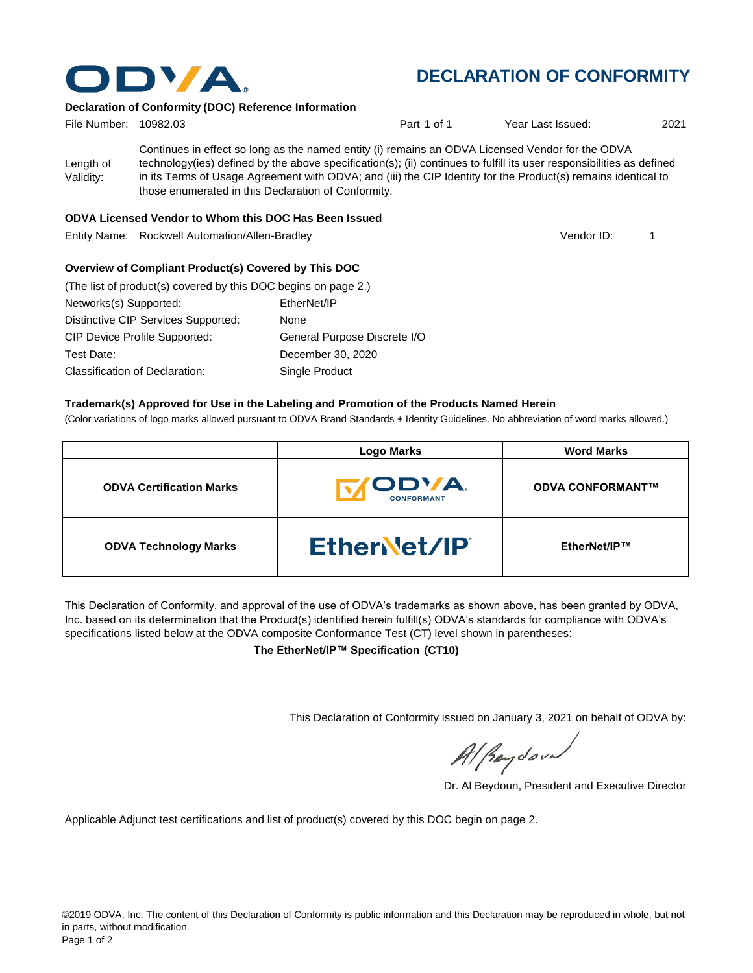

## **DECLARATION OF CONFORMITY**

#### **Declaration of Conformity (DOC) Reference Information**

| File Number: 10982.03  |                                                                                                                                                                                                                                                                                                                                                                                                   | Part 1 of 1 | Year Last Issued: | 2021 |
|------------------------|---------------------------------------------------------------------------------------------------------------------------------------------------------------------------------------------------------------------------------------------------------------------------------------------------------------------------------------------------------------------------------------------------|-------------|-------------------|------|
| Length of<br>Validity: | Continues in effect so long as the named entity (i) remains an ODVA Licensed Vendor for the ODVA<br>technology(ies) defined by the above specification(s); (ii) continues to fulfill its user responsibilities as defined<br>in its Terms of Usage Agreement with ODVA; and (iii) the CIP Identity for the Product(s) remains identical to<br>those enumerated in this Declaration of Conformity. |             |                   |      |

#### **ODVA Licensed Vendor to Whom this DOC Has Been Issued**

Entity Name: Rockwell Automation/Allen-Bradley 1

Vendor ID:

#### **Overview of Compliant Product(s) Covered by This DOC**

| (The list of product(s) covered by this DOC begins on page 2.) |                              |
|----------------------------------------------------------------|------------------------------|
| Networks(s) Supported:                                         | EtherNet/IP                  |
| Distinctive CIP Services Supported:                            | None                         |
| <b>CIP Device Profile Supported:</b>                           | General Purpose Discrete I/O |
| Test Date:                                                     | December 30, 2020            |
| Classification of Declaration:                                 | Single Product               |

#### **Trademark(s) Approved for Use in the Labeling and Promotion of the Products Named Herein**

(Color variations of logo marks allowed pursuant to ODVA Brand Standards + Identity Guidelines. No abbreviation of word marks allowed.)

|                                 | <b>Logo Marks</b>                  | <b>Word Marks</b>       |
|---------------------------------|------------------------------------|-------------------------|
| <b>ODVA Certification Marks</b> | <b>IODVA.</b><br><b>CONFORMANT</b> | <b>ODVA CONFORMANT™</b> |
| <b>ODVA Technology Marks</b>    | EtherNet/IP                        | EtherNet/IP™            |

This Declaration of Conformity, and approval of the use of ODVA's trademarks as shown above, has been granted by ODVA, Inc. based on its determination that the Product(s) identified herein fulfill(s) ODVA's standards for compliance with ODVA's specifications listed below at the ODVA composite Conformance Test (CT) level shown in parentheses:

**The EtherNet/IP™ Specification (CT10)**

This Declaration of Conformity issued on January 3, 2021 on behalf of ODVA by:

Al Beydoor

Dr. Al Beydoun, President and Executive Director

Applicable Adjunct test certifications and list of product(s) covered by this DOC begin on page 2.